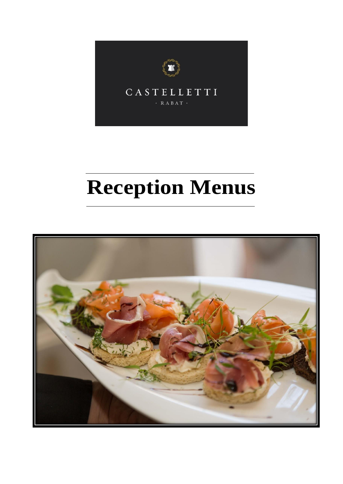

# **Reception Menus**

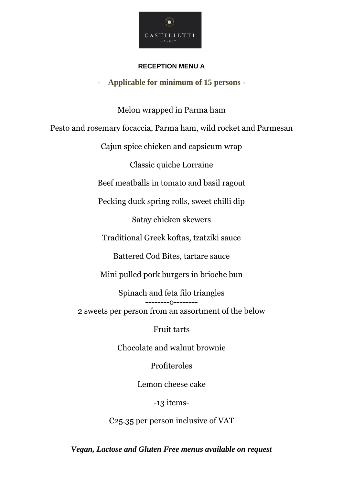

#### **RECEPTION MENU A**

- **Applicable for minimum of 15 persons -**

Melon wrapped in Parma ham Pesto and rosemary focaccia, Parma ham, wild rocket and Parmesan Cajun spice chicken and capsicum wrap Classic quiche Lorraine Beef meatballs in tomato and basil ragout Pecking duck spring rolls, sweet chilli dip Satay chicken skewers Traditional Greek koftas, tzatziki sauce Battered Cod Bites, tartare sauce Mini pulled pork burgers in brioche bun Spinach and feta filo triangles  $---0-$ 2 sweets per person from an assortment of the below

Fruit tarts

Chocolate and walnut brownie

Profiteroles

Lemon cheese cake

## -13 items-

€25.35 per person inclusive of VAT

*Vegan, Lactose and Gluten Free menus available on request*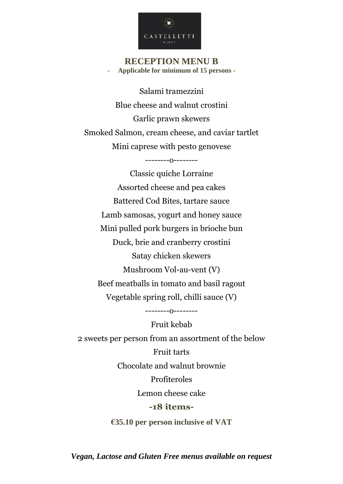

### **RECEPTION MENU B** - **Applicable for minimum of 15 persons -**

Salami tramezzini Blue cheese and walnut crostini Garlic prawn skewers Smoked Salmon, cream cheese, and caviar tartlet Mini caprese with pesto genovese

--------o--------

Classic quiche Lorraine Assorted cheese and pea cakes Battered Cod Bites, tartare sauce Lamb samosas, yogurt and honey sauce Mini pulled pork burgers in brioche bun Duck, brie and cranberry crostini Satay chicken skewers Mushroom Vol-au-vent (V) Beef meatballs in tomato and basil ragout Vegetable spring roll, chilli sauce (V)

Fruit kebab 2 sweets per person from an assortment of the below Fruit tarts Chocolate and walnut brownie Profiteroles Lemon cheese cake **-18 items-**

--------o--------

**€35.10 per person inclusive of VAT**

*Vegan, Lactose and Gluten Free menus available on request*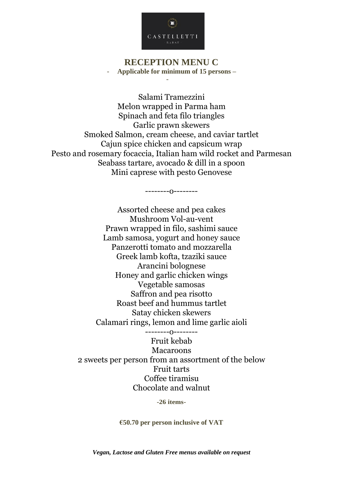

#### **RECEPTION MENU C** - **Applicable for minimum of 15 persons –**

-

Salami Tramezzini Melon wrapped in Parma ham Spinach and feta filo triangles Garlic prawn skewers Smoked Salmon, cream cheese, and caviar tartlet Cajun spice chicken and capsicum wrap Pesto and rosemary focaccia, Italian ham wild rocket and Parmesan Seabass tartare, avocado & dill in a spoon Mini caprese with pesto Genovese

--------o--------

Assorted cheese and pea cakes Mushroom Vol-au-vent Prawn wrapped in filo, sashimi sauce Lamb samosa, yogurt and honey sauce Panzerotti tomato and mozzarella Greek lamb kofta, tzaziki sauce Arancini bolognese Honey and garlic chicken wings Vegetable samosas Saffron and pea risotto Roast beef and hummus tartlet Satay chicken skewers Calamari rings, lemon and lime garlic aioli --------o--------

Fruit kebab Macaroons 2 sweets per person from an assortment of the below Fruit tarts Coffee tiramisu Chocolate and walnut

**-26 items-**

**€50.70 per person inclusive of VAT**

*Vegan, Lactose and Gluten Free menus available on request*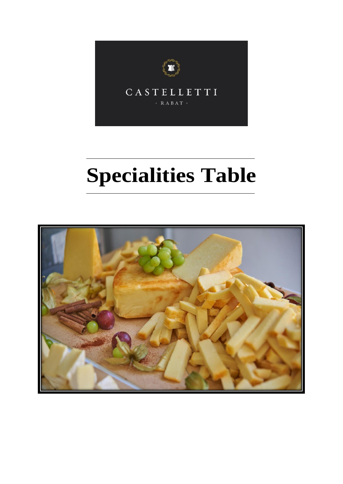

# **Specialities Table**

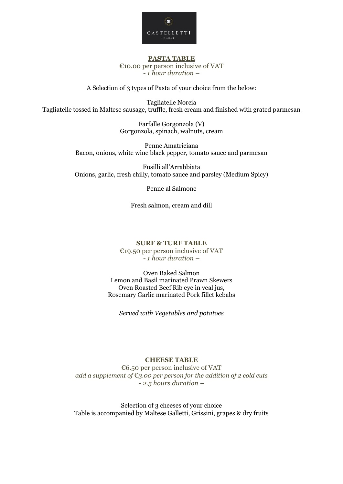

#### **PASTA TABLE** €10.00 per person inclusive of VAT *- 1 hour duration –*

A Selection of 3 types of Pasta of your choice from the below:

Tagliatelle Norcia Tagliatelle tossed in Maltese sausage, truffle, fresh cream and finished with grated parmesan

> Farfalle Gorgonzola (V) Gorgonzola, spinach, walnuts, cream

Penne Amatriciana Bacon, onions, white wine black pepper, tomato sauce and parmesan

Fusilli all'Arrabbiata Onions, garlic, fresh chilly, tomato sauce and parsley (Medium Spicy)

Penne al Salmone

Fresh salmon, cream and dill

#### **SURF & TURF TABLE** €19.50 per person inclusive of VAT *- 1 hour duration –*

Oven Baked Salmon Lemon and Basil marinated Prawn Skewers Oven Roasted Beef Rib eye in veal jus, Rosemary Garlic marinated Pork fillet kebabs

*Served with Vegetables and potatoes*

#### **CHEESE TABLE**

€6.50 per person inclusive of VAT *add a supplement of* €*3.00 per person for the addition of 2 cold cuts - 2.5 hours duration –*

Selection of 3 cheeses of your choice Table is accompanied by Maltese Galletti, Grissini, grapes & dry fruits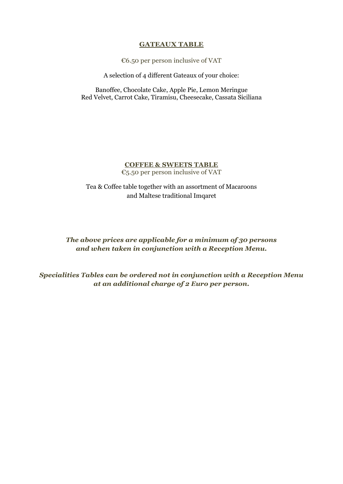#### **GATEAUX TABLE**

€6.50 per person inclusive of VAT

A selection of 4 different Gateaux of your choice:

Banoffee, Chocolate Cake, Apple Pie, Lemon Meringue Red Velvet, Carrot Cake, Tiramisu, Cheesecake, Cassata Siciliana

#### **COFFEE & SWEETS TABLE** €5.50 per person inclusive of VAT

Tea & Coffee table together with an assortment of Macaroons and Maltese traditional Imqaret

*The above prices are applicable for a minimum of 30 persons and when taken in conjunction with a Reception Menu.* 

*Specialities Tables can be ordered not in conjunction with a Reception Menu at an additional charge of 2 Euro per person.*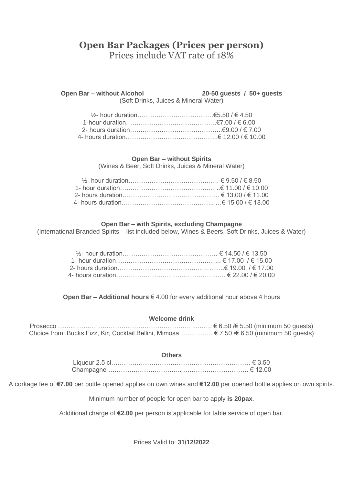## **Open Bar Packages (Prices per person)** Prices include VAT rate of 18%

**Open Bar – without Alcohol 20-50 guests / 50+ guests**

(Soft Drinks, Juices & Mineral Water)

#### **Open Bar – without Spirits**

(Wines & Beer, Soft Drinks, Juices & Mineral Water)

#### **Open Bar – with Spirits, excluding Champagne**

(International Branded Spirits – list included below, Wines & Beers, Soft Drinks, Juices & Water)

**Open Bar – Additional hours** € 4.00 for every additional hour above 4 hours

#### **Welcome drink**

Prosecco ………………………………………………………………. € 6.50 /€ 5.50 (minimum 50 guests) Choice from: Bucks Fizz, Kir, Cocktail Bellini, Mimosa……………. € 7.50 /€ 6.50 (minimum 50 guests)

| <b>Others</b> |  |  |
|---------------|--|--|
|               |  |  |
|               |  |  |

A corkage fee of **€7.00** per bottle opened applies on own wines and **€12.00** per opened bottle applies on own spirits.

Minimum number of people for open bar to apply **is 20pax**.

Additional charge of **€2.00** per person is applicable for table service of open bar.

Prices Valid to: **31/12/2022**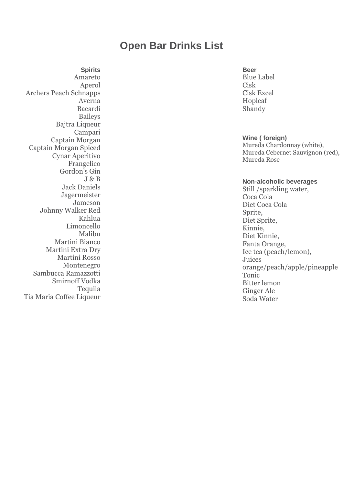# **Open Bar Drinks List**

**Spirits** Amareto Aperol Archers Peach Schnapps Averna Bacardi Baileys Bajtra Liqueur Campari Captain Morgan Captain Morgan Spiced Cynar Aperitivo Frangelico Gordon's Gin J & B Jack Daniels Jagermeister Jameson Johnny Walker Red Kahlua Limoncello Malibu Martini Bianco Martini Extra Dry Martini Rosso Montenegro Sambucca Ramazzotti Smirnoff Vodka Tequila Tia Maria Coffee Liqueur

#### **Beer**

Blue Label Cisk Cisk Excel Hopleaf Shandy

#### **Wine ( foreign)**

Mureda Chardonnay (white), Mureda Cebernet Sauvignon (red), Mureda Rose

#### **Non-alcoholic beverages**

Still /sparkling water, Coca Cola Diet Coca Cola Sprite, Diet Sprite, Kinnie, Diet Kinnie, Fanta Orange, Ice tea (peach/lemon), Juices orange/peach/apple/pineapple Tonic Bitter lemon Ginger Ale Soda Water